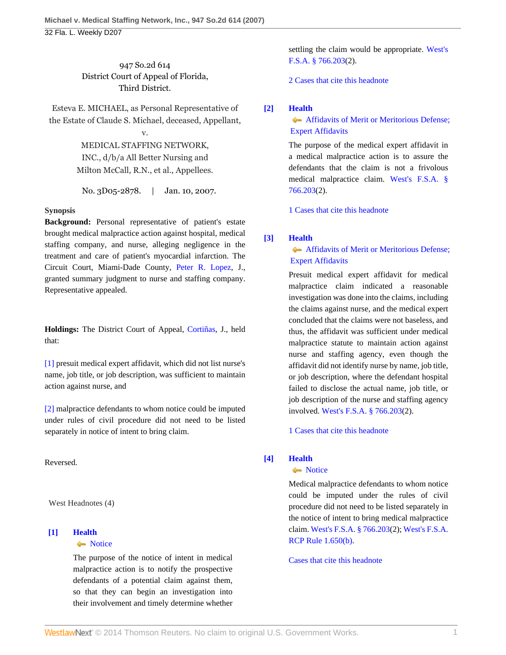947 So.2d 614 District Court of Appeal of Florida, Third District.

Esteva E. MICHAEL, as Personal Representative of the Estate of Claude S. Michael, deceased, Appellant,

v.

MEDICAL STAFFING NETWORK, INC., d/b/a All Better Nursing and Milton McCall, R.N., et al., Appellees.

No. 3D05-2878. | Jan. 10, 2007.

#### **Synopsis**

**Background:** Personal representative of patient's estate brought medical malpractice action against hospital, medical staffing company, and nurse, alleging negligence in the treatment and care of patient's myocardial infarction. The Circuit Court, Miami-Dade County, [Peter R. Lopez,](http://www.westlaw.com/Link/Document/FullText?findType=h&pubNum=176284&cite=0286301402&originatingDoc=I631b2dc2a0b211dbb29ecfd71e79cb92&refType=RQ&originationContext=document&vr=3.0&rs=cblt1.0&transitionType=DocumentItem&contextData=(sc.Default)) J., granted summary judgment to nurse and staffing company. Representative appealed.

**Holdings:** The District Court of Appeal, [Cortiñas,](http://www.westlaw.com/Link/Document/FullText?findType=h&pubNum=176284&cite=0343975301&originatingDoc=I631b2dc2a0b211dbb29ecfd71e79cb92&refType=RQ&originationContext=document&vr=3.0&rs=cblt1.0&transitionType=DocumentItem&contextData=(sc.Default)) J., held that:

[\[1\]](#page-0-0) presuit medical expert affidavit, which did not list nurse's name, job title, or job description, was sufficient to maintain action against nurse, and

[\[2\]](#page-0-1) malpractice defendants to whom notice could be imputed under rules of civil procedure did not need to be listed separately in notice of intent to bring claim.

Reversed.

West Headnotes (4)

# <span id="page-0-2"></span>**[\[1\]](#page-2-0) [Health](http://www.westlaw.com/Browse/Home/KeyNumber/198H/View.html?docGuid=I631b2dc2a0b211dbb29ecfd71e79cb92&originationContext=document&vr=3.0&rs=cblt1.0&transitionType=DocumentItem&contextData=(sc.Default))**

# • [Notice](http://www.westlaw.com/Browse/Home/KeyNumber/198Hk807/View.html?docGuid=I631b2dc2a0b211dbb29ecfd71e79cb92&originationContext=document&vr=3.0&rs=cblt1.0&transitionType=DocumentItem&contextData=(sc.Default))

The purpose of the notice of intent in medical malpractice action is to notify the prospective defendants of a potential claim against them, so that they can begin an investigation into their involvement and timely determine whether settling the claim would be appropriate. [West's](http://www.westlaw.com/Link/Document/FullText?findType=L&pubNum=1000006&cite=FLSTS766.203&originatingDoc=I631b2dc2a0b211dbb29ecfd71e79cb92&refType=LQ&originationContext=document&vr=3.0&rs=cblt1.0&transitionType=DocumentItem&contextData=(sc.Default)) [F.S.A. § 766.203\(](http://www.westlaw.com/Link/Document/FullText?findType=L&pubNum=1000006&cite=FLSTS766.203&originatingDoc=I631b2dc2a0b211dbb29ecfd71e79cb92&refType=LQ&originationContext=document&vr=3.0&rs=cblt1.0&transitionType=DocumentItem&contextData=(sc.Default))2).

[2 Cases that cite this headnote](http://www.westlaw.com/Link/RelatedInformation/DocHeadnoteLink?docGuid=I631b2dc2a0b211dbb29ecfd71e79cb92&headnoteId=201115403700120090305135105&originationContext=document&vr=3.0&rs=cblt1.0&transitionType=CitingReferences&contextData=(sc.Default))

# <span id="page-0-3"></span>**[\[2\]](#page-2-1) [Health](http://www.westlaw.com/Browse/Home/KeyNumber/198H/View.html?docGuid=I631b2dc2a0b211dbb29ecfd71e79cb92&originationContext=document&vr=3.0&rs=cblt1.0&transitionType=DocumentItem&contextData=(sc.Default))**

**Affidavits of Merit or Meritorious Defense;**  [Expert Affidavits](http://www.westlaw.com/Browse/Home/KeyNumber/198Hk804/View.html?docGuid=I631b2dc2a0b211dbb29ecfd71e79cb92&originationContext=document&vr=3.0&rs=cblt1.0&transitionType=DocumentItem&contextData=(sc.Default))

The purpose of the medical expert affidavit in a medical malpractice action is to assure the defendants that the claim is not a frivolous medical malpractice claim. [West's F.S.A. §](http://www.westlaw.com/Link/Document/FullText?findType=L&pubNum=1000006&cite=FLSTS766.203&originatingDoc=I631b2dc2a0b211dbb29ecfd71e79cb92&refType=LQ&originationContext=document&vr=3.0&rs=cblt1.0&transitionType=DocumentItem&contextData=(sc.Default)) [766.203](http://www.westlaw.com/Link/Document/FullText?findType=L&pubNum=1000006&cite=FLSTS766.203&originatingDoc=I631b2dc2a0b211dbb29ecfd71e79cb92&refType=LQ&originationContext=document&vr=3.0&rs=cblt1.0&transitionType=DocumentItem&contextData=(sc.Default))(2).

[1 Cases that cite this headnote](http://www.westlaw.com/Link/RelatedInformation/DocHeadnoteLink?docGuid=I631b2dc2a0b211dbb29ecfd71e79cb92&headnoteId=201115403700220090305135105&originationContext=document&vr=3.0&rs=cblt1.0&transitionType=CitingReferences&contextData=(sc.Default))

#### <span id="page-0-0"></span>**[\[3\]](#page-3-0) [Health](http://www.westlaw.com/Browse/Home/KeyNumber/198H/View.html?docGuid=I631b2dc2a0b211dbb29ecfd71e79cb92&originationContext=document&vr=3.0&rs=cblt1.0&transitionType=DocumentItem&contextData=(sc.Default))**

**Affidavits of Merit or Meritorious Defense;**  [Expert Affidavits](http://www.westlaw.com/Browse/Home/KeyNumber/198Hk804/View.html?docGuid=I631b2dc2a0b211dbb29ecfd71e79cb92&originationContext=document&vr=3.0&rs=cblt1.0&transitionType=DocumentItem&contextData=(sc.Default))

Presuit medical expert affidavit for medical malpractice claim indicated a reasonable investigation was done into the claims, including the claims against nurse, and the medical expert concluded that the claims were not baseless, and thus, the affidavit was sufficient under medical malpractice statute to maintain action against nurse and staffing agency, even though the affidavit did not identify nurse by name, job title, or job description, where the defendant hospital failed to disclose the actual name, job title, or job description of the nurse and staffing agency involved. [West's F.S.A. § 766.203\(](http://www.westlaw.com/Link/Document/FullText?findType=L&pubNum=1000006&cite=FLSTS766.203&originatingDoc=I631b2dc2a0b211dbb29ecfd71e79cb92&refType=LQ&originationContext=document&vr=3.0&rs=cblt1.0&transitionType=DocumentItem&contextData=(sc.Default))2).

[1 Cases that cite this headnote](http://www.westlaw.com/Link/RelatedInformation/DocHeadnoteLink?docGuid=I631b2dc2a0b211dbb29ecfd71e79cb92&headnoteId=201115403700320090305135105&originationContext=document&vr=3.0&rs=cblt1.0&transitionType=CitingReferences&contextData=(sc.Default))

# <span id="page-0-1"></span>**[\[4\]](#page-4-0) [Health](http://www.westlaw.com/Browse/Home/KeyNumber/198H/View.html?docGuid=I631b2dc2a0b211dbb29ecfd71e79cb92&originationContext=document&vr=3.0&rs=cblt1.0&transitionType=DocumentItem&contextData=(sc.Default))**

#### • [Notice](http://www.westlaw.com/Browse/Home/KeyNumber/198Hk807/View.html?docGuid=I631b2dc2a0b211dbb29ecfd71e79cb92&originationContext=document&vr=3.0&rs=cblt1.0&transitionType=DocumentItem&contextData=(sc.Default))

Medical malpractice defendants to whom notice could be imputed under the rules of civil procedure did not need to be listed separately in the notice of intent to bring medical malpractice claim. [West's F.S.A. § 766.203\(](http://www.westlaw.com/Link/Document/FullText?findType=L&pubNum=1000006&cite=FLSTS766.203&originatingDoc=I631b2dc2a0b211dbb29ecfd71e79cb92&refType=LQ&originationContext=document&vr=3.0&rs=cblt1.0&transitionType=DocumentItem&contextData=(sc.Default))2); [West's F.S.A.](http://www.westlaw.com/Link/Document/FullText?findType=L&pubNum=1000006&cite=FLSTRCPR1.650&originatingDoc=I631b2dc2a0b211dbb29ecfd71e79cb92&refType=LQ&originationContext=document&vr=3.0&rs=cblt1.0&transitionType=DocumentItem&contextData=(sc.Default)) [RCP Rule 1.650\(b\)](http://www.westlaw.com/Link/Document/FullText?findType=L&pubNum=1000006&cite=FLSTRCPR1.650&originatingDoc=I631b2dc2a0b211dbb29ecfd71e79cb92&refType=LQ&originationContext=document&vr=3.0&rs=cblt1.0&transitionType=DocumentItem&contextData=(sc.Default)).

[Cases that cite this headnote](http://www.westlaw.com/Link/RelatedInformation/DocHeadnoteLink?docGuid=I631b2dc2a0b211dbb29ecfd71e79cb92&headnoteId=201115403700420090305135105&originationContext=document&vr=3.0&rs=cblt1.0&transitionType=CitingReferences&contextData=(sc.Default))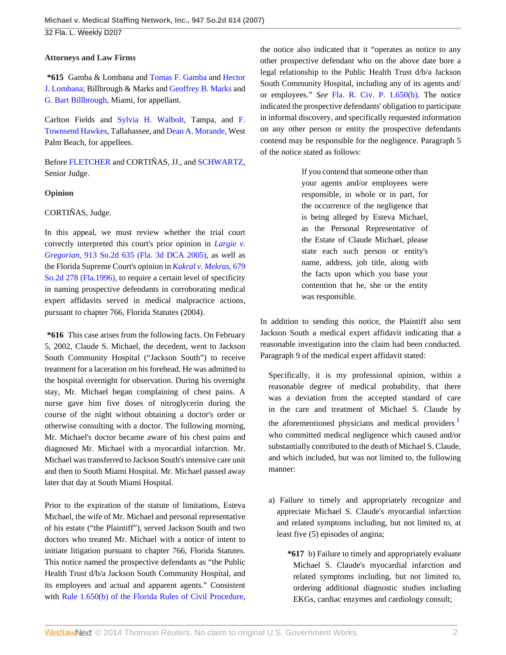### **Attorneys and Law Firms**

**\*615** Gamba & Lombana and [Tomas F. Gamba](http://www.westlaw.com/Link/Document/FullText?findType=h&pubNum=176284&cite=0281664601&originatingDoc=I631b2dc2a0b211dbb29ecfd71e79cb92&refType=RQ&originationContext=document&vr=3.0&rs=cblt1.0&transitionType=DocumentItem&contextData=(sc.Default)) and [Hector](http://www.westlaw.com/Link/Document/FullText?findType=h&pubNum=176284&cite=0121856301&originatingDoc=I631b2dc2a0b211dbb29ecfd71e79cb92&refType=RQ&originationContext=document&vr=3.0&rs=cblt1.0&transitionType=DocumentItem&contextData=(sc.Default)) [J. Lombana](http://www.westlaw.com/Link/Document/FullText?findType=h&pubNum=176284&cite=0121856301&originatingDoc=I631b2dc2a0b211dbb29ecfd71e79cb92&refType=RQ&originationContext=document&vr=3.0&rs=cblt1.0&transitionType=DocumentItem&contextData=(sc.Default)); Billbrough & Marks and [Geoffrey B. Marks](http://www.westlaw.com/Link/Document/FullText?findType=h&pubNum=176284&cite=0144012701&originatingDoc=I631b2dc2a0b211dbb29ecfd71e79cb92&refType=RQ&originationContext=document&vr=3.0&rs=cblt1.0&transitionType=DocumentItem&contextData=(sc.Default)) and [G. Bart Billbrough](http://www.westlaw.com/Link/Document/FullText?findType=h&pubNum=176284&cite=0126991101&originatingDoc=I631b2dc2a0b211dbb29ecfd71e79cb92&refType=RQ&originationContext=document&vr=3.0&rs=cblt1.0&transitionType=DocumentItem&contextData=(sc.Default)), Miami, for appellant.

Carlton Fields and [Sylvia H. Walbolt](http://www.westlaw.com/Link/Document/FullText?findType=h&pubNum=176284&cite=0162439301&originatingDoc=I631b2dc2a0b211dbb29ecfd71e79cb92&refType=RQ&originationContext=document&vr=3.0&rs=cblt1.0&transitionType=DocumentItem&contextData=(sc.Default)), Tampa, and [F.](http://www.westlaw.com/Link/Document/FullText?findType=h&pubNum=176284&cite=0259516101&originatingDoc=I631b2dc2a0b211dbb29ecfd71e79cb92&refType=RQ&originationContext=document&vr=3.0&rs=cblt1.0&transitionType=DocumentItem&contextData=(sc.Default)) [Townsend Hawkes,](http://www.westlaw.com/Link/Document/FullText?findType=h&pubNum=176284&cite=0259516101&originatingDoc=I631b2dc2a0b211dbb29ecfd71e79cb92&refType=RQ&originationContext=document&vr=3.0&rs=cblt1.0&transitionType=DocumentItem&contextData=(sc.Default)) Tallahassee, and [Dean A. Morande](http://www.westlaw.com/Link/Document/FullText?findType=h&pubNum=176284&cite=0363646601&originatingDoc=I631b2dc2a0b211dbb29ecfd71e79cb92&refType=RQ&originationContext=document&vr=3.0&rs=cblt1.0&transitionType=DocumentItem&contextData=(sc.Default)), West Palm Beach, for appellees.

Before [FLETCHER](http://www.westlaw.com/Link/Document/FullText?findType=h&pubNum=176284&cite=0182479301&originatingDoc=I631b2dc2a0b211dbb29ecfd71e79cb92&refType=RQ&originationContext=document&vr=3.0&rs=cblt1.0&transitionType=DocumentItem&contextData=(sc.Default)) and CORTIÑAS, JJ., and [SCHWARTZ,](http://www.westlaw.com/Link/Document/FullText?findType=h&pubNum=176284&cite=0141887401&originatingDoc=I631b2dc2a0b211dbb29ecfd71e79cb92&refType=RQ&originationContext=document&vr=3.0&rs=cblt1.0&transitionType=DocumentItem&contextData=(sc.Default)) Senior Judge.

# **Opinion**

# CORTIÑAS, Judge.

In this appeal, we must review whether the trial court correctly interpreted this court's prior opinion in *[Largie v.](http://www.westlaw.com/Link/Document/FullText?findType=Y&serNum=2006938469&pubNum=735&originationContext=document&vr=3.0&rs=cblt1.0&transitionType=DocumentItem&contextData=(sc.Default)) Gregorian,* [913 So.2d 635 \(Fla. 3d DCA 2005\),](http://www.westlaw.com/Link/Document/FullText?findType=Y&serNum=2006938469&pubNum=735&originationContext=document&vr=3.0&rs=cblt1.0&transitionType=DocumentItem&contextData=(sc.Default)) as well as the Florida Supreme Court's opinion in *[Kukral v. Mekras,](http://www.westlaw.com/Link/Document/FullText?findType=Y&serNum=1996134917&pubNum=735&originationContext=document&vr=3.0&rs=cblt1.0&transitionType=DocumentItem&contextData=(sc.Default))* 679 [So.2d 278 \(Fla.1996\)](http://www.westlaw.com/Link/Document/FullText?findType=Y&serNum=1996134917&pubNum=735&originationContext=document&vr=3.0&rs=cblt1.0&transitionType=DocumentItem&contextData=(sc.Default)), to require a certain level of specificity in naming prospective defendants in corroborating medical expert affidavits served in medical malpractice actions, pursuant to chapter 766, Florida Statutes (2004).

**\*616** This case arises from the following facts. On February 5, 2002, Claude S. Michael, the decedent, went to Jackson South Community Hospital ("Jackson South") to receive treatment for a laceration on his forehead. He was admitted to the hospital overnight for observation. During his overnight stay, Mr. Michael began complaining of chest pains. A nurse gave him five doses of nitroglycerin during the course of the night without obtaining a doctor's order or otherwise consulting with a doctor. The following morning, Mr. Michael's doctor became aware of his chest pains and diagnosed Mr. Michael with a myocardial infarction. Mr. Michael was transferred to Jackson South's intensive care unit and then to South Miami Hospital. Mr. Michael passed away later that day at South Miami Hospital.

Prior to the expiration of the statute of limitations, Esteva Michael, the wife of Mr. Michael and personal representative of his estate ("the Plaintiff"), served Jackson South and two doctors who treated Mr. Michael with a notice of intent to initiate litigation pursuant to chapter 766, Florida Statutes. This notice named the prospective defendants as "the Public Health Trust d/b/a Jackson South Community Hospital, and its employees and actual and apparent agents." Consistent with [Rule 1.650\(b\) of the Florida Rules of Civil Procedure](http://www.westlaw.com/Link/Document/FullText?findType=L&pubNum=1000006&cite=FLSTRCPR1.650&originatingDoc=I631b2dc2a0b211dbb29ecfd71e79cb92&refType=LQ&originationContext=document&vr=3.0&rs=cblt1.0&transitionType=DocumentItem&contextData=(sc.Default)), the notice also indicated that it "operates as notice to any other prospective defendant who on the above date bore a legal relationship to the Public Health Trust d/b/a Jackson South Community Hospital, including any of its agents and/ or employees." *See* [Fla. R. Civ. P. 1.650\(b\).](http://www.westlaw.com/Link/Document/FullText?findType=L&pubNum=1000006&cite=FLSTRCPR1.650&originatingDoc=I631b2dc2a0b211dbb29ecfd71e79cb92&refType=LQ&originationContext=document&vr=3.0&rs=cblt1.0&transitionType=DocumentItem&contextData=(sc.Default)) The notice indicated the prospective defendants' obligation to participate in informal discovery, and specifically requested information on any other person or entity the prospective defendants contend may be responsible for the negligence. Paragraph 5 of the notice stated as follows:

> If you contend that someone other than your agents and/or employees were responsible, in whole or in part, for the occurrence of the negligence that is being alleged by Esteva Michael, as the Personal Representative of the Estate of Claude Michael, please state each such person or entity's name, address, job title, along with the facts upon which you base your contention that he, she or the entity was responsible.

In addition to sending this notice, the Plaintiff also sent Jackson South a medical expert affidavit indicating that a reasonable investigation into the claim had been conducted. Paragraph 9 of the medical expert affidavit stated:

<span id="page-1-0"></span>Specifically, it is my professional opinion, within a reasonable degree of medical probability, that there was a deviation from the accepted standard of care in the care and treatment of Michael S. Claude by the aforementioned physicians and medical providers  $\frac{1}{1}$  $\frac{1}{1}$  $\frac{1}{1}$ who committed medical negligence which caused and/or substantially contributed to the death of Michael S. Claude, and which included, but was not limited to, the following manner:

- a) Failure to timely and appropriately recognize and appreciate Michael S. Claude's myocardial infarction and related symptoms including, but not limited to, at least five (5) episodes of angina;
	- **\*617** b) Failure to timely and appropriately evaluate Michael S. Claude's myocardial infarction and related symptoms including, but not limited to, ordering additional diagnostic studies including EKGs, cardiac enzymes and cardiology consult;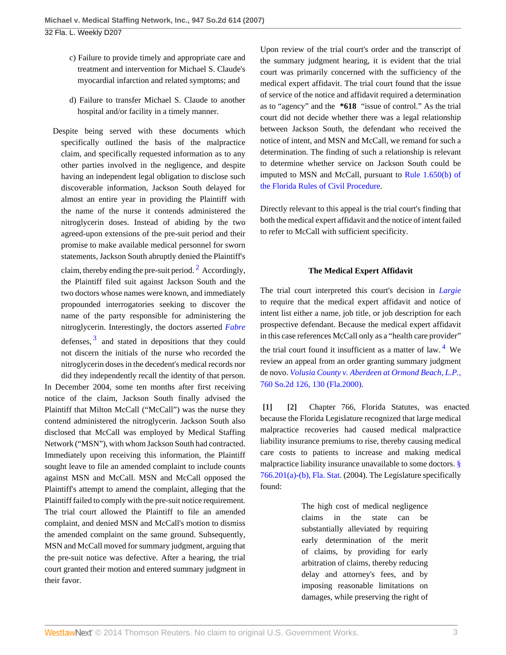- c) Failure to provide timely and appropriate care and treatment and intervention for Michael S. Claude's myocardial infarction and related symptoms; and
- d) Failure to transfer Michael S. Claude to another hospital and/or facility in a timely manner.
- Despite being served with these documents which specifically outlined the basis of the malpractice claim, and specifically requested information as to any other parties involved in the negligence, and despite having an independent legal obligation to disclose such discoverable information, Jackson South delayed for almost an entire year in providing the Plaintiff with the name of the nurse it contends administered the nitroglycerin doses. Instead of abiding by the two agreed-upon extensions of the pre-suit period and their promise to make available medical personnel for sworn statements, Jackson South abruptly denied the Plaintiff's claim, thereby ending the pre-suit period.  $2$  Accordingly, the Plaintiff filed suit against Jackson South and the two doctors whose names were known, and immediately propounded interrogatories seeking to discover the name of the party responsible for administering the nitroglycerin. Interestingly, the doctors asserted *[Fabre](http://www.westlaw.com/Link/Document/FullText?findType=Y&serNum=1993168148&originationContext=document&vr=3.0&rs=cblt1.0&transitionType=DocumentItem&contextData=(sc.Default))* defenses,  $3$  and stated in depositions that they could not discern the initials of the nurse who recorded the nitroglycerin doses in the decedent's medical records nor

<span id="page-2-3"></span>did they independently recall the identity of that person. In December 2004, some ten months after first receiving notice of the claim, Jackson South finally advised the Plaintiff that Milton McCall ("McCall") was the nurse they contend administered the nitroglycerin. Jackson South also disclosed that McCall was employed by Medical Staffing Network ("MSN"), with whom Jackson South had contracted. Immediately upon receiving this information, the Plaintiff sought leave to file an amended complaint to include counts against MSN and McCall. MSN and McCall opposed the Plaintiff's attempt to amend the complaint, alleging that the Plaintiff failed to comply with the pre-suit notice requirement. The trial court allowed the Plaintiff to file an amended complaint, and denied MSN and McCall's motion to dismiss the amended complaint on the same ground. Subsequently, MSN and McCall moved for summary judgment, arguing that the pre-suit notice was defective. After a hearing, the trial court granted their motion and entered summary judgment in their favor.

Upon review of the trial court's order and the transcript of the summary judgment hearing, it is evident that the trial court was primarily concerned with the sufficiency of the medical expert affidavit. The trial court found that the issue of service of the notice and affidavit required a determination as to "agency" and the **\*618** "issue of control." As the trial court did not decide whether there was a legal relationship between Jackson South, the defendant who received the notice of intent, and MSN and McCall, we remand for such a determination. The finding of such a relationship is relevant to determine whether service on Jackson South could be imputed to MSN and McCall, pursuant to [Rule 1.650\(b\) of](http://www.westlaw.com/Link/Document/FullText?findType=L&pubNum=1000006&cite=FLSTRCPR1.650&originatingDoc=I631b2dc2a0b211dbb29ecfd71e79cb92&refType=LQ&originationContext=document&vr=3.0&rs=cblt1.0&transitionType=DocumentItem&contextData=(sc.Default)) [the Florida Rules of Civil Procedure](http://www.westlaw.com/Link/Document/FullText?findType=L&pubNum=1000006&cite=FLSTRCPR1.650&originatingDoc=I631b2dc2a0b211dbb29ecfd71e79cb92&refType=LQ&originationContext=document&vr=3.0&rs=cblt1.0&transitionType=DocumentItem&contextData=(sc.Default)).

Directly relevant to this appeal is the trial court's finding that both the medical expert affidavit and the notice of intent failed to refer to McCall with sufficient specificity.

#### <span id="page-2-4"></span>**The Medical Expert Affidavit**

<span id="page-2-2"></span>The trial court interpreted this court's decision in *[Largie](http://www.westlaw.com/Link/Document/FullText?findType=Y&serNum=2006938469&originationContext=document&vr=3.0&rs=cblt1.0&transitionType=DocumentItem&contextData=(sc.Default))* to require that the medical expert affidavit and notice of intent list either a name, job title, or job description for each prospective defendant. Because the medical expert affidavit in this case references McCall only as a "health care provider"

the trial court found it insufficient as a matter of law. <sup>[4](#page-5-3)</sup> We review an appeal from an order granting summary judgment de novo. *[Volusia County v. Aberdeen at Ormond Beach, L.P.,](http://www.westlaw.com/Link/Document/FullText?findType=Y&serNum=2000356033&pubNum=735&fi=co_pp_sp_735_130&originationContext=document&vr=3.0&rs=cblt1.0&transitionType=DocumentItem&contextData=(sc.Default)#co_pp_sp_735_130)* [760 So.2d 126, 130 \(Fla.2000\).](http://www.westlaw.com/Link/Document/FullText?findType=Y&serNum=2000356033&pubNum=735&fi=co_pp_sp_735_130&originationContext=document&vr=3.0&rs=cblt1.0&transitionType=DocumentItem&contextData=(sc.Default)#co_pp_sp_735_130)

<span id="page-2-1"></span><span id="page-2-0"></span>**[\[1\]](#page-0-2) [\[2](#page-0-3)]** Chapter 766, Florida Statutes, was enacted because the Florida Legislature recognized that large medical malpractice recoveries had caused medical malpractice liability insurance premiums to rise, thereby causing medical care costs to patients to increase and making medical malpractice liability insurance unavailable to some doctors. [§](http://www.westlaw.com/Link/Document/FullText?findType=L&pubNum=1000006&cite=FLSTS766.201&originatingDoc=I631b2dc2a0b211dbb29ecfd71e79cb92&refType=LQ&originationContext=document&vr=3.0&rs=cblt1.0&transitionType=DocumentItem&contextData=(sc.Default)) [766.201\(a\)-\(b\), Fla. Stat](http://www.westlaw.com/Link/Document/FullText?findType=L&pubNum=1000006&cite=FLSTS766.201&originatingDoc=I631b2dc2a0b211dbb29ecfd71e79cb92&refType=LQ&originationContext=document&vr=3.0&rs=cblt1.0&transitionType=DocumentItem&contextData=(sc.Default)). (2004). The Legislature specifically found:

> The high cost of medical negligence claims in the state can be substantially alleviated by requiring early determination of the merit of claims, by providing for early arbitration of claims, thereby reducing delay and attorney's fees, and by imposing reasonable limitations on damages, while preserving the right of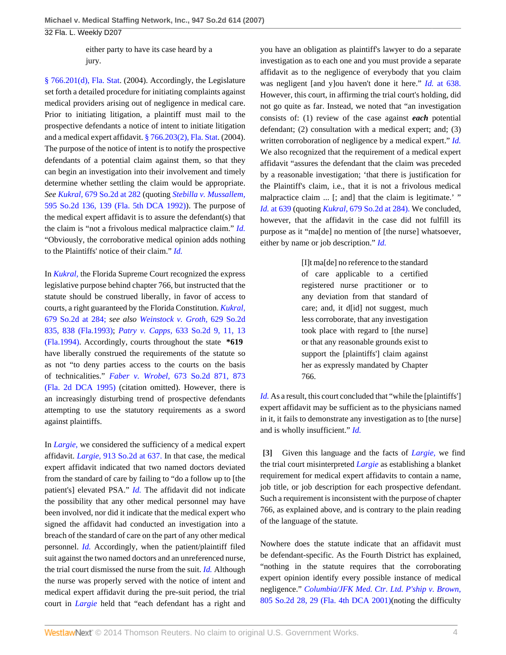32 Fla. L. Weekly D207

either party to have its case heard by a jury.

[§ 766.201\(d\), Fla. Stat.](http://www.westlaw.com/Link/Document/FullText?findType=L&pubNum=1000006&cite=FLSTS766.201&originatingDoc=I631b2dc2a0b211dbb29ecfd71e79cb92&refType=LQ&originationContext=document&vr=3.0&rs=cblt1.0&transitionType=DocumentItem&contextData=(sc.Default)) (2004). Accordingly, the Legislature set forth a detailed procedure for initiating complaints against medical providers arising out of negligence in medical care. Prior to initiating litigation, a plaintiff must mail to the prospective defendants a notice of intent to initiate litigation and a medical expert affidavit. [§ 766.203\(2\), Fla. Stat](http://www.westlaw.com/Link/Document/FullText?findType=L&pubNum=1000006&cite=FLSTS766.203&originatingDoc=I631b2dc2a0b211dbb29ecfd71e79cb92&refType=LQ&originationContext=document&vr=3.0&rs=cblt1.0&transitionType=DocumentItem&contextData=(sc.Default)). (2004). The purpose of the notice of intent is to notify the prospective defendants of a potential claim against them, so that they can begin an investigation into their involvement and timely determine whether settling the claim would be appropriate. *See Kukral,* [679 So.2d at 282](http://www.westlaw.com/Link/Document/FullText?findType=Y&serNum=1996134917&pubNum=735&fi=co_pp_sp_735_282&originationContext=document&vr=3.0&rs=cblt1.0&transitionType=DocumentItem&contextData=(sc.Default)#co_pp_sp_735_282) (quoting *[Stebilla v. Mussallem,](http://www.westlaw.com/Link/Document/FullText?findType=Y&serNum=1992041776&pubNum=735&fi=co_pp_sp_735_139&originationContext=document&vr=3.0&rs=cblt1.0&transitionType=DocumentItem&contextData=(sc.Default)#co_pp_sp_735_139)* [595 So.2d 136, 139 \(Fla. 5th DCA 1992\)](http://www.westlaw.com/Link/Document/FullText?findType=Y&serNum=1992041776&pubNum=735&fi=co_pp_sp_735_139&originationContext=document&vr=3.0&rs=cblt1.0&transitionType=DocumentItem&contextData=(sc.Default)#co_pp_sp_735_139)). The purpose of the medical expert affidavit is to assure the defendant(s) that the claim is "not a frivolous medical malpractice claim." *[Id.](http://www.westlaw.com/Link/Document/FullText?findType=Y&serNum=1992041776&originationContext=document&vr=3.0&rs=cblt1.0&transitionType=DocumentItem&contextData=(sc.Default))* "Obviously, the corroborative medical opinion adds nothing to the Plaintiffs' notice of their claim." *[Id.](http://www.westlaw.com/Link/Document/FullText?findType=Y&serNum=1992041776&originationContext=document&vr=3.0&rs=cblt1.0&transitionType=DocumentItem&contextData=(sc.Default))*

In *[Kukral,](http://www.westlaw.com/Link/Document/FullText?findType=Y&serNum=1996134917&originationContext=document&vr=3.0&rs=cblt1.0&transitionType=DocumentItem&contextData=(sc.Default))* the Florida Supreme Court recognized the express legislative purpose behind chapter 766, but instructed that the statute should be construed liberally, in favor of access to courts, a right guaranteed by the Florida Constitution. *[Kukral,](http://www.westlaw.com/Link/Document/FullText?findType=Y&serNum=1996134917&pubNum=735&fi=co_pp_sp_735_284&originationContext=document&vr=3.0&rs=cblt1.0&transitionType=DocumentItem&contextData=(sc.Default)#co_pp_sp_735_284)* [679 So.2d at 284;](http://www.westlaw.com/Link/Document/FullText?findType=Y&serNum=1996134917&pubNum=735&fi=co_pp_sp_735_284&originationContext=document&vr=3.0&rs=cblt1.0&transitionType=DocumentItem&contextData=(sc.Default)#co_pp_sp_735_284) *see also [Weinstock v. Groth,](http://www.westlaw.com/Link/Document/FullText?findType=Y&serNum=1993240348&pubNum=735&fi=co_pp_sp_735_838&originationContext=document&vr=3.0&rs=cblt1.0&transitionType=DocumentItem&contextData=(sc.Default)#co_pp_sp_735_838)* 629 So.2d [835, 838 \(Fla.1993\);](http://www.westlaw.com/Link/Document/FullText?findType=Y&serNum=1993240348&pubNum=735&fi=co_pp_sp_735_838&originationContext=document&vr=3.0&rs=cblt1.0&transitionType=DocumentItem&contextData=(sc.Default)#co_pp_sp_735_838) *Patry v. Capps,* [633 So.2d 9, 11, 13](http://www.westlaw.com/Link/Document/FullText?findType=Y&serNum=1994060919&pubNum=735&fi=co_pp_sp_735_11&originationContext=document&vr=3.0&rs=cblt1.0&transitionType=DocumentItem&contextData=(sc.Default)#co_pp_sp_735_11) [\(Fla.1994\).](http://www.westlaw.com/Link/Document/FullText?findType=Y&serNum=1994060919&pubNum=735&fi=co_pp_sp_735_11&originationContext=document&vr=3.0&rs=cblt1.0&transitionType=DocumentItem&contextData=(sc.Default)#co_pp_sp_735_11) Accordingly, courts throughout the state **\*619** have liberally construed the requirements of the statute so as not "to deny parties access to the courts on the basis of technicalities." *Faber v. Wrobel,* [673 So.2d 871, 873](http://www.westlaw.com/Link/Document/FullText?findType=Y&serNum=1995239871&pubNum=735&fi=co_pp_sp_735_873&originationContext=document&vr=3.0&rs=cblt1.0&transitionType=DocumentItem&contextData=(sc.Default)#co_pp_sp_735_873) [\(Fla. 2d DCA 1995\)](http://www.westlaw.com/Link/Document/FullText?findType=Y&serNum=1995239871&pubNum=735&fi=co_pp_sp_735_873&originationContext=document&vr=3.0&rs=cblt1.0&transitionType=DocumentItem&contextData=(sc.Default)#co_pp_sp_735_873) (citation omitted). However, there is an increasingly disturbing trend of prospective defendants attempting to use the statutory requirements as a sword against plaintiffs.

In *[Largie,](http://www.westlaw.com/Link/Document/FullText?findType=Y&serNum=2006938469&originationContext=document&vr=3.0&rs=cblt1.0&transitionType=DocumentItem&contextData=(sc.Default))* we considered the sufficiency of a medical expert affidavit. *Largie,* [913 So.2d at 637.](http://www.westlaw.com/Link/Document/FullText?findType=Y&serNum=2006938469&pubNum=735&fi=co_pp_sp_735_637&originationContext=document&vr=3.0&rs=cblt1.0&transitionType=DocumentItem&contextData=(sc.Default)#co_pp_sp_735_637) In that case, the medical expert affidavit indicated that two named doctors deviated from the standard of care by failing to "do a follow up to [the patient's] elevated PSA." *[Id.](http://www.westlaw.com/Link/Document/FullText?findType=Y&serNum=2006938469&originationContext=document&vr=3.0&rs=cblt1.0&transitionType=DocumentItem&contextData=(sc.Default))* The affidavit did not indicate the possibility that any other medical personnel may have been involved, nor did it indicate that the medical expert who signed the affidavit had conducted an investigation into a breach of the standard of care on the part of any other medical personnel. *[Id.](http://www.westlaw.com/Link/Document/FullText?findType=Y&serNum=2006938469&originationContext=document&vr=3.0&rs=cblt1.0&transitionType=DocumentItem&contextData=(sc.Default))* Accordingly, when the patient/plaintiff filed suit against the two named doctors and an unreferenced nurse, the trial court dismissed the nurse from the suit. *[Id.](http://www.westlaw.com/Link/Document/FullText?findType=Y&serNum=2006938469&originationContext=document&vr=3.0&rs=cblt1.0&transitionType=DocumentItem&contextData=(sc.Default))* Although the nurse was properly served with the notice of intent and medical expert affidavit during the pre-suit period, the trial court in *[Largie](http://www.westlaw.com/Link/Document/FullText?findType=Y&serNum=2006938469&originationContext=document&vr=3.0&rs=cblt1.0&transitionType=DocumentItem&contextData=(sc.Default))* held that "each defendant has a right and you have an obligation as plaintiff's lawyer to do a separate investigation as to each one and you must provide a separate affidavit as to the negligence of everybody that you claim was negligent [and y]ou haven't done it here." *Id.* [at 638.](http://www.westlaw.com/Link/Document/FullText?findType=Y&serNum=2006938469&originationContext=document&vr=3.0&rs=cblt1.0&transitionType=DocumentItem&contextData=(sc.Default)) However, this court, in affirming the trial court's holding, did not go quite as far. Instead, we noted that "an investigation consists of: (1) review of the case against *each* potential defendant; (2) consultation with a medical expert; and; (3) written corroboration of negligence by a medical expert." *[Id.](http://www.westlaw.com/Link/Document/FullText?findType=Y&serNum=2006938469&originationContext=document&vr=3.0&rs=cblt1.0&transitionType=DocumentItem&contextData=(sc.Default))* We also recognized that the requirement of a medical expert affidavit "assures the defendant that the claim was preceded by a reasonable investigation; 'that there is justification for the Plaintiff's claim, i.e., that it is not a frivolous medical malpractice claim ... [; and] that the claim is legitimate.' " *Id.* [at 639](http://www.westlaw.com/Link/Document/FullText?findType=Y&serNum=2006938469&originationContext=document&vr=3.0&rs=cblt1.0&transitionType=DocumentItem&contextData=(sc.Default)) (quoting *Kukral,* [679 So.2d at 284\).](http://www.westlaw.com/Link/Document/FullText?findType=Y&serNum=1996134917&pubNum=735&fi=co_pp_sp_735_284&originationContext=document&vr=3.0&rs=cblt1.0&transitionType=DocumentItem&contextData=(sc.Default)#co_pp_sp_735_284) We concluded, however, that the affidavit in the case did not fulfill its purpose as it "ma[de] no mention of [the nurse] whatsoever, either by name or job description." *[Id.](http://www.westlaw.com/Link/Document/FullText?findType=Y&serNum=2006938469&originationContext=document&vr=3.0&rs=cblt1.0&transitionType=DocumentItem&contextData=(sc.Default))*

> [I]t ma[de] no reference to the standard of care applicable to a certified registered nurse practitioner or to any deviation from that standard of care; and, it d[id] not suggest, much less corroborate, that any investigation took place with regard to [the nurse] or that any reasonable grounds exist to support the [plaintiffs'] claim against her as expressly mandated by Chapter 766.

*[Id.](http://www.westlaw.com/Link/Document/FullText?findType=Y&serNum=2006938469&originationContext=document&vr=3.0&rs=cblt1.0&transitionType=DocumentItem&contextData=(sc.Default))* As a result, this court concluded that "while the [plaintiffs'] expert affidavit may be sufficient as to the physicians named in it, it fails to demonstrate any investigation as to [the nurse] and is wholly insufficient." *[Id.](http://www.westlaw.com/Link/Document/FullText?findType=Y&serNum=2006938469&originationContext=document&vr=3.0&rs=cblt1.0&transitionType=DocumentItem&contextData=(sc.Default))*

<span id="page-3-0"></span>**[\[3\]](#page-0-0)** Given this language and the facts of *[Largie,](http://www.westlaw.com/Link/Document/FullText?findType=Y&serNum=2006938469&originationContext=document&vr=3.0&rs=cblt1.0&transitionType=DocumentItem&contextData=(sc.Default))* we find the trial court misinterpreted *[Largie](http://www.westlaw.com/Link/Document/FullText?findType=Y&serNum=2006938469&originationContext=document&vr=3.0&rs=cblt1.0&transitionType=DocumentItem&contextData=(sc.Default))* as establishing a blanket requirement for medical expert affidavits to contain a name, job title, or job description for each prospective defendant. Such a requirement is inconsistent with the purpose of chapter 766, as explained above, and is contrary to the plain reading of the language of the statute.

Nowhere does the statute indicate that an affidavit must be defendant-specific. As the Fourth District has explained, "nothing in the statute requires that the corroborating expert opinion identify every possible instance of medical negligence." *[Columbia/JFK Med. Ctr. Ltd. P'ship v. Brown,](http://www.westlaw.com/Link/Document/FullText?findType=Y&serNum=2001961478&pubNum=735&fi=co_pp_sp_735_29&originationContext=document&vr=3.0&rs=cblt1.0&transitionType=DocumentItem&contextData=(sc.Default)#co_pp_sp_735_29)* [805 So.2d 28, 29 \(Fla. 4th DCA 2001\)](http://www.westlaw.com/Link/Document/FullText?findType=Y&serNum=2001961478&pubNum=735&fi=co_pp_sp_735_29&originationContext=document&vr=3.0&rs=cblt1.0&transitionType=DocumentItem&contextData=(sc.Default)#co_pp_sp_735_29)(noting the difficulty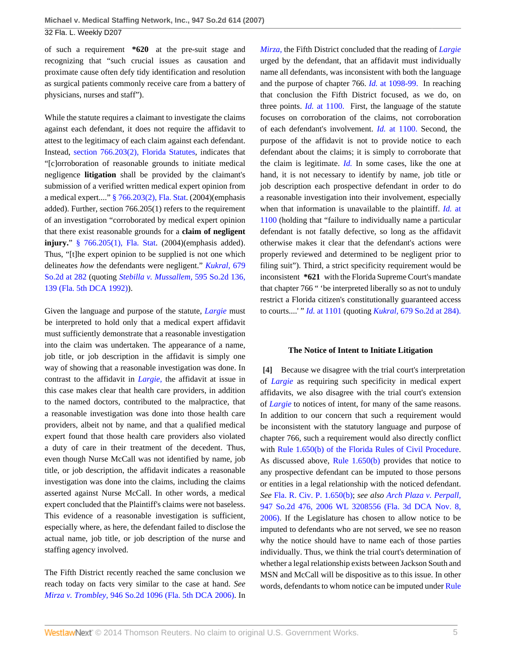32 Fla. L. Weekly D207

of such a requirement **\*620** at the pre-suit stage and recognizing that "such crucial issues as causation and proximate cause often defy tidy identification and resolution as surgical patients commonly receive care from a battery of physicians, nurses and staff").

While the statute requires a claimant to investigate the claims against each defendant, it does not require the affidavit to attest to the legitimacy of each claim against each defendant. Instead, [section 766.203\(2\), Florida Statutes](http://www.westlaw.com/Link/Document/FullText?findType=L&pubNum=1000006&cite=FLSTS766.203&originatingDoc=I631b2dc2a0b211dbb29ecfd71e79cb92&refType=LQ&originationContext=document&vr=3.0&rs=cblt1.0&transitionType=DocumentItem&contextData=(sc.Default)), indicates that "[c]orroboration of reasonable grounds to initiate medical negligence **litigation** shall be provided by the claimant's submission of a verified written medical expert opinion from a medical expert...." [§ 766.203\(2\), Fla. Stat](http://www.westlaw.com/Link/Document/FullText?findType=L&pubNum=1000006&cite=FLSTS766.203&originatingDoc=I631b2dc2a0b211dbb29ecfd71e79cb92&refType=LQ&originationContext=document&vr=3.0&rs=cblt1.0&transitionType=DocumentItem&contextData=(sc.Default)). (2004)(emphasis added). Further, section 766.205(1) refers to the requirement of an investigation "corroborated by medical expert opinion that there exist reasonable grounds for a **claim of negligent injury.**" [§ 766.205\(1\), Fla. Stat](http://www.westlaw.com/Link/Document/FullText?findType=L&pubNum=1000006&cite=FLSTS766.205&originatingDoc=I631b2dc2a0b211dbb29ecfd71e79cb92&refType=LQ&originationContext=document&vr=3.0&rs=cblt1.0&transitionType=DocumentItem&contextData=(sc.Default)). (2004)(emphasis added). Thus, "[t]he expert opinion to be supplied is not one which delineates *how* the defendants were negligent." *[Kukral,](http://www.westlaw.com/Link/Document/FullText?findType=Y&serNum=1996134917&pubNum=735&fi=co_pp_sp_735_282&originationContext=document&vr=3.0&rs=cblt1.0&transitionType=DocumentItem&contextData=(sc.Default)#co_pp_sp_735_282)* 679 [So.2d at 282](http://www.westlaw.com/Link/Document/FullText?findType=Y&serNum=1996134917&pubNum=735&fi=co_pp_sp_735_282&originationContext=document&vr=3.0&rs=cblt1.0&transitionType=DocumentItem&contextData=(sc.Default)#co_pp_sp_735_282) (quoting *[Stebilla v. Mussallem,](http://www.westlaw.com/Link/Document/FullText?findType=Y&serNum=1992041776&pubNum=735&fi=co_pp_sp_735_139&originationContext=document&vr=3.0&rs=cblt1.0&transitionType=DocumentItem&contextData=(sc.Default)#co_pp_sp_735_139)* 595 So.2d 136, [139 \(Fla. 5th DCA 1992\)\)](http://www.westlaw.com/Link/Document/FullText?findType=Y&serNum=1992041776&pubNum=735&fi=co_pp_sp_735_139&originationContext=document&vr=3.0&rs=cblt1.0&transitionType=DocumentItem&contextData=(sc.Default)#co_pp_sp_735_139).

Given the language and purpose of the statute, *[Largie](http://www.westlaw.com/Link/Document/FullText?findType=Y&serNum=2006938469&originationContext=document&vr=3.0&rs=cblt1.0&transitionType=DocumentItem&contextData=(sc.Default))* must be interpreted to hold only that a medical expert affidavit must sufficiently demonstrate that a reasonable investigation into the claim was undertaken. The appearance of a name, job title, or job description in the affidavit is simply one way of showing that a reasonable investigation was done. In contrast to the affidavit in *[Largie,](http://www.westlaw.com/Link/Document/FullText?findType=Y&serNum=2006938469&originationContext=document&vr=3.0&rs=cblt1.0&transitionType=DocumentItem&contextData=(sc.Default))* the affidavit at issue in this case makes clear that health care providers, in addition to the named doctors, contributed to the malpractice, that a reasonable investigation was done into those health care providers, albeit not by name, and that a qualified medical expert found that those health care providers also violated a duty of care in their treatment of the decedent. Thus, even though Nurse McCall was not identified by name, job title, or job description, the affidavit indicates a reasonable investigation was done into the claims, including the claims asserted against Nurse McCall. In other words, a medical expert concluded that the Plaintiff's claims were not baseless. This evidence of a reasonable investigation is sufficient, especially where, as here, the defendant failed to disclose the actual name, job title, or job description of the nurse and staffing agency involved.

The Fifth District recently reached the same conclusion we reach today on facts very similar to the case at hand. *See Mirza v. Trombley,* [946 So.2d 1096 \(Fla. 5th DCA 2006\).](http://www.westlaw.com/Link/Document/FullText?findType=Y&serNum=2010825715&pubNum=735&originationContext=document&vr=3.0&rs=cblt1.0&transitionType=DocumentItem&contextData=(sc.Default)) In *[Mirza,](http://www.westlaw.com/Link/Document/FullText?findType=Y&serNum=2010825715&originationContext=document&vr=3.0&rs=cblt1.0&transitionType=DocumentItem&contextData=(sc.Default))* the Fifth District concluded that the reading of *[Largie](http://www.westlaw.com/Link/Document/FullText?findType=Y&serNum=2006938469&originationContext=document&vr=3.0&rs=cblt1.0&transitionType=DocumentItem&contextData=(sc.Default))* urged by the defendant, that an affidavit must individually name all defendants, was inconsistent with both the language and the purpose of chapter 766. *Id.* [at 1098-99.](http://www.westlaw.com/Link/Document/FullText?findType=Y&serNum=2010825715&originationContext=document&vr=3.0&rs=cblt1.0&transitionType=DocumentItem&contextData=(sc.Default)) In reaching that conclusion the Fifth District focused, as we do, on three points. *Id.* [at 1100.](http://www.westlaw.com/Link/Document/FullText?findType=Y&serNum=2010825715&originationContext=document&vr=3.0&rs=cblt1.0&transitionType=DocumentItem&contextData=(sc.Default)) First, the language of the statute focuses on corroboration of the claims, not corroboration of each defendant's involvement. *Id.* [at 1100.](http://www.westlaw.com/Link/Document/FullText?findType=Y&serNum=2010825715&originationContext=document&vr=3.0&rs=cblt1.0&transitionType=DocumentItem&contextData=(sc.Default)) Second, the purpose of the affidavit is not to provide notice to each defendant about the claims; it is simply to corroborate that the claim is legitimate. *[Id.](http://www.westlaw.com/Link/Document/FullText?findType=Y&serNum=2010825715&originationContext=document&vr=3.0&rs=cblt1.0&transitionType=DocumentItem&contextData=(sc.Default))* In some cases, like the one at hand, it is not necessary to identify by name, job title or job description each prospective defendant in order to do a reasonable investigation into their involvement, especially when that information is unavailable to the plaintiff. *Id.* [at](http://www.westlaw.com/Link/Document/FullText?findType=Y&serNum=2010825715&originationContext=document&vr=3.0&rs=cblt1.0&transitionType=DocumentItem&contextData=(sc.Default)) [1100](http://www.westlaw.com/Link/Document/FullText?findType=Y&serNum=2010825715&originationContext=document&vr=3.0&rs=cblt1.0&transitionType=DocumentItem&contextData=(sc.Default)) (holding that "failure to individually name a particular defendant is not fatally defective, so long as the affidavit otherwise makes it clear that the defendant's actions were properly reviewed and determined to be negligent prior to filing suit"). Third, a strict specificity requirement would be inconsistent **\*621** with the Florida Supreme Court's mandate that chapter 766 " 'be interpreted liberally so as not to unduly restrict a Florida citizen's constitutionally guaranteed access to courts....' " *Id.* [at 1101](http://www.westlaw.com/Link/Document/FullText?findType=Y&serNum=2010825715&originationContext=document&vr=3.0&rs=cblt1.0&transitionType=DocumentItem&contextData=(sc.Default)) (quoting *Kukral,* [679 So.2d at 284\).](http://www.westlaw.com/Link/Document/FullText?findType=Y&serNum=1996134917&pubNum=735&fi=co_pp_sp_735_284&originationContext=document&vr=3.0&rs=cblt1.0&transitionType=DocumentItem&contextData=(sc.Default)#co_pp_sp_735_284)

#### <span id="page-4-0"></span>**The Notice of Intent to Initiate Litigation**

**[\[4\]](#page-0-1)** Because we disagree with the trial court's interpretation of *[Largie](http://www.westlaw.com/Link/Document/FullText?findType=Y&serNum=2006938469&originationContext=document&vr=3.0&rs=cblt1.0&transitionType=DocumentItem&contextData=(sc.Default))* as requiring such specificity in medical expert affidavits, we also disagree with the trial court's extension of *[Largie](http://www.westlaw.com/Link/Document/FullText?findType=Y&serNum=2006938469&originationContext=document&vr=3.0&rs=cblt1.0&transitionType=DocumentItem&contextData=(sc.Default))* to notices of intent, for many of the same reasons. In addition to our concern that such a requirement would be inconsistent with the statutory language and purpose of chapter 766, such a requirement would also directly conflict with [Rule 1.650\(b\) of the Florida Rules of Civil Procedure](http://www.westlaw.com/Link/Document/FullText?findType=L&pubNum=1000006&cite=FLSTRCPR1.650&originatingDoc=I631b2dc2a0b211dbb29ecfd71e79cb92&refType=LQ&originationContext=document&vr=3.0&rs=cblt1.0&transitionType=DocumentItem&contextData=(sc.Default)). As discussed above, [Rule 1.650\(b\)](http://www.westlaw.com/Link/Document/FullText?findType=L&pubNum=1000006&cite=FLSTRCPR1.650&originatingDoc=I631b2dc2a0b211dbb29ecfd71e79cb92&refType=LQ&originationContext=document&vr=3.0&rs=cblt1.0&transitionType=DocumentItem&contextData=(sc.Default)) provides that notice to any prospective defendant can be imputed to those persons or entities in a legal relationship with the noticed defendant. *See* [Fla. R. Civ. P. 1.650\(b\);](http://www.westlaw.com/Link/Document/FullText?findType=L&pubNum=1000006&cite=FLSTRCPR1.650&originatingDoc=I631b2dc2a0b211dbb29ecfd71e79cb92&refType=LQ&originationContext=document&vr=3.0&rs=cblt1.0&transitionType=DocumentItem&contextData=(sc.Default)) *see also [Arch Plaza v. Perpall,](http://www.westlaw.com/Link/Document/FullText?findType=Y&serNum=2010601640&pubNum=0000999&originationContext=document&vr=3.0&rs=cblt1.0&transitionType=DocumentItem&contextData=(sc.Default))* [947 So.2d 476, 2006 WL 3208556 \(Fla. 3d DCA Nov. 8,](http://www.westlaw.com/Link/Document/FullText?findType=Y&serNum=2010601640&pubNum=0000999&originationContext=document&vr=3.0&rs=cblt1.0&transitionType=DocumentItem&contextData=(sc.Default)) [2006\)](http://www.westlaw.com/Link/Document/FullText?findType=Y&serNum=2010601640&pubNum=0000999&originationContext=document&vr=3.0&rs=cblt1.0&transitionType=DocumentItem&contextData=(sc.Default)). If the Legislature has chosen to allow notice to be imputed to defendants who are not served, we see no reason why the notice should have to name each of those parties individually. Thus, we think the trial court's determination of whether a legal relationship exists between Jackson South and MSN and McCall will be dispositive as to this issue. In other words, defendants to whom notice can be imputed under [Rule](http://www.westlaw.com/Link/Document/FullText?findType=L&pubNum=1000006&cite=FLSTRCPR1.650&originatingDoc=I631b2dc2a0b211dbb29ecfd71e79cb92&refType=LQ&originationContext=document&vr=3.0&rs=cblt1.0&transitionType=DocumentItem&contextData=(sc.Default))